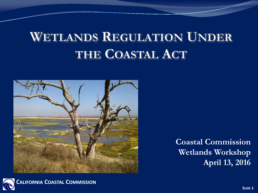## **WETLANDS REGULATION UNDER** THE COASTAL ACT



**Coastal Commission Wetlands Workshop April 13, 2016**

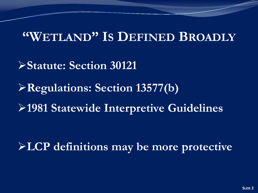#### **"WETLAND" IS DEFINED BROADLY**

**Statute: Section 30121**

**Regulations: Section 13577(b)**

**1981 Statewide Interpretive Guidelines**

**LCP definitions may be more protective**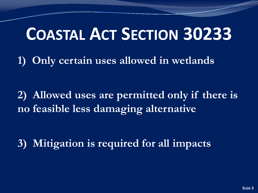# **COASTAL ACT SECTION 30233**

**1) Only certain uses allowed in wetlands**

**2) Allowed uses are permitted only if there is no feasible less damaging alternative**

**3) Mitigation is required for all impacts**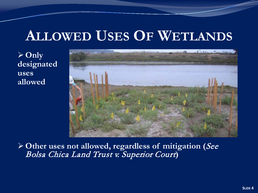### **ALLOWED USES OF WETLANDS**

 $\sqrt{2}$  Only **designated uses allowed**



**Other uses not allowed, regardless of mitigation (**See Bolsa Chica Land Trust v. Superior Court**)**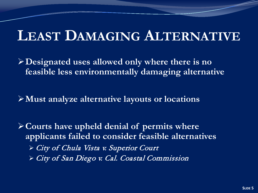### **LEAST DAMAGING ALTERNATIVE**

**Designated uses allowed only where there is no feasible less environmentally damaging alternative**

**Must analyze alternative layouts or locations** 

**Courts have upheld denial of permits where applicants failed to consider feasible alternatives** City of Chula Vista v. Superior Court City of San Diego v. Cal. Coastal Commission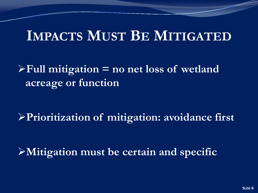### **IMPACTS MUST BE MITIGATED**

#### **Full mitigation = no net loss of wetland acreage or function**

**Prioritization of mitigation: avoidance first**

**Mitigation must be certain and specific**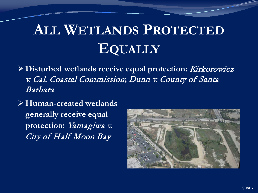# **ALL WETLANDS PROTECTED EQUALLY**

- **Disturbed wetlands receive equal protection:** Kirkorowicz v. Cal. Coastal Commission**;** Dunn v. County of Santa Barbara
- **Human-created wetlands generally receive equal**  protection: Yamagiwa v. City of Half Moon Bay

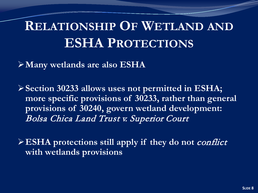## **RELATIONSHIP OF WETLAND AND ESHA PROTECTIONS**

**Many wetlands are also ESHA**

**Section 30233 allows uses not permitted in ESHA; more specific provisions of 30233, rather than general provisions of 30240, govern wetland development:**  Bolsa Chica Land Trust v. Superior Court

**ESHA protections still apply if they do not** conflict **with wetlands provisions**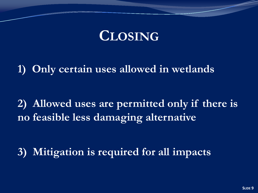### **CLOSING**

**1) Only certain uses allowed in wetlands**

**2) Allowed uses are permitted only if there is no feasible less damaging alternative**

**3) Mitigation is required for all impacts**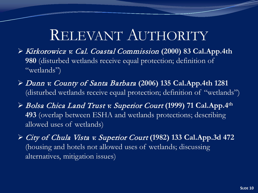# RELEVANT AUTHORITY

- Kirkorowicz v. Cal. Coastal Commission **(2000) 83 Cal.App.4th 980** (disturbed wetlands receive equal protection; definition of "wetlands")
- Dunn v. County of Santa Barbara **(2006) 135 Cal.App.4th 1281**  (disturbed wetlands receive equal protection; definition of "wetlands")
- Bolsa Chica Land Trust v. Superior Court **(1999) 71 Cal.App.4th 493** (overlap between ESHA and wetlands protections; describing allowed uses of wetlands)
- City of Chula Vista v. Superior Court **(1982) 133 Cal.App.3d 472**  (housing and hotels not allowed uses of wetlands; discussing alternatives, mitigation issues)